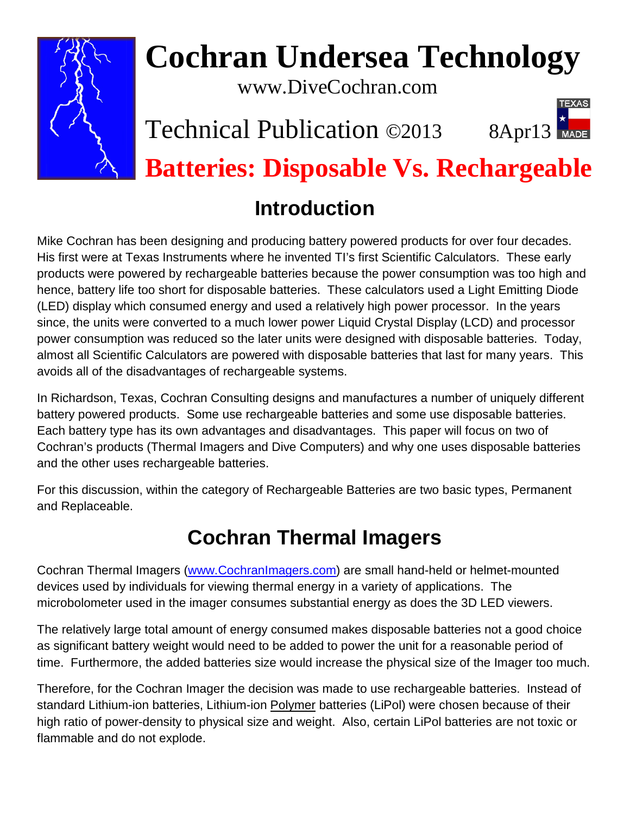

# **Cochran Undersea Technology**

www.DiveCochran.com

# Technical Publication ©2013 8Apr13



**Batteries: Disposable Vs. Rechargeable**

# **Introduction**

Mike Cochran has been designing and producing battery powered products for over four decades. His first were at Texas Instruments where he invented TI's first Scientific Calculators. These early products were powered by rechargeable batteries because the power consumption was too high and hence, battery life too short for disposable batteries. These calculators used a Light Emitting Diode (LED) display which consumed energy and used a relatively high power processor. In the years since, the units were converted to a much lower power Liquid Crystal Display (LCD) and processor power consumption was reduced so the later units were designed with disposable batteries. Today, almost all Scientific Calculators are powered with disposable batteries that last for many years. This avoids all of the disadvantages of rechargeable systems.

In Richardson, Texas, Cochran Consulting designs and manufactures a number of uniquely different battery powered products. Some use rechargeable batteries and some use disposable batteries. Each battery type has its own advantages and disadvantages. This paper will focus on two of Cochran's products (Thermal Imagers and Dive Computers) and why one uses disposable batteries and the other uses rechargeable batteries.

For this discussion, within the category of Rechargeable Batteries are two basic types, Permanent and Replaceable.

# **Cochran Thermal Imagers**

Cochran Thermal Imagers [\(www.CochranImagers.com\)](http://www.cochranimagers.com/) are small hand-held or helmet-mounted devices used by individuals for viewing thermal energy in a variety of applications. The microbolometer used in the imager consumes substantial energy as does the 3D LED viewers.

The relatively large total amount of energy consumed makes disposable batteries not a good choice as significant battery weight would need to be added to power the unit for a reasonable period of time. Furthermore, the added batteries size would increase the physical size of the Imager too much.

Therefore, for the Cochran Imager the decision was made to use rechargeable batteries. Instead of standard Lithium-ion batteries, Lithium-ion Polymer batteries (LiPol) were chosen because of their high ratio of power-density to physical size and weight. Also, certain LiPol batteries are not toxic or flammable and do not explode.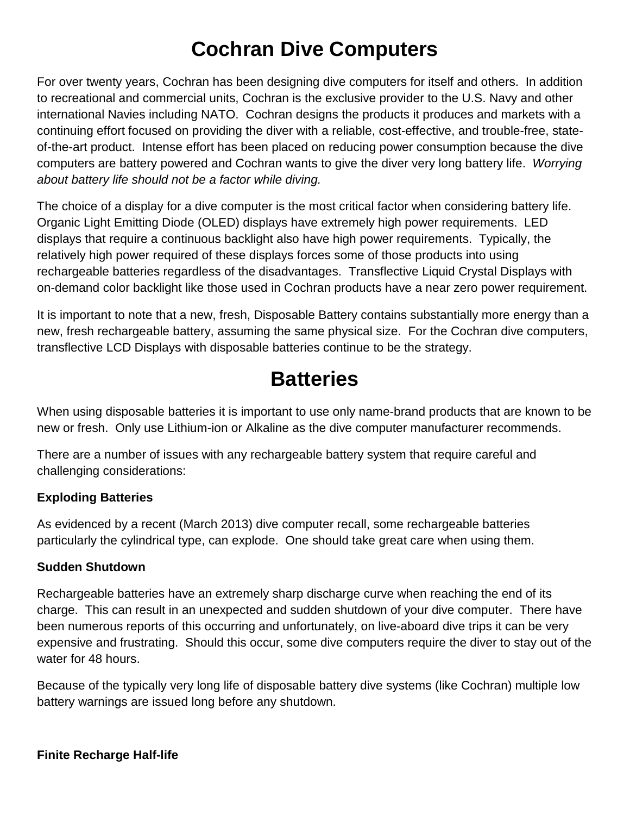# **Cochran Dive Computers**

For over twenty years, Cochran has been designing dive computers for itself and others. In addition to recreational and commercial units, Cochran is the exclusive provider to the U.S. Navy and other international Navies including NATO. Cochran designs the products it produces and markets with a continuing effort focused on providing the diver with a reliable, cost-effective, and trouble-free, stateof-the-art product. Intense effort has been placed on reducing power consumption because the dive computers are battery powered and Cochran wants to give the diver very long battery life. *Worrying about battery life should not be a factor while diving.*

The choice of a display for a dive computer is the most critical factor when considering battery life. Organic Light Emitting Diode (OLED) displays have extremely high power requirements. LED displays that require a continuous backlight also have high power requirements. Typically, the relatively high power required of these displays forces some of those products into using rechargeable batteries regardless of the disadvantages. Transflective Liquid Crystal Displays with on-demand color backlight like those used in Cochran products have a near zero power requirement.

It is important to note that a new, fresh, Disposable Battery contains substantially more energy than a new, fresh rechargeable battery, assuming the same physical size. For the Cochran dive computers, transflective LCD Displays with disposable batteries continue to be the strategy.

# **Batteries**

When using disposable batteries it is important to use only name-brand products that are known to be new or fresh. Only use Lithium-ion or Alkaline as the dive computer manufacturer recommends.

There are a number of issues with any rechargeable battery system that require careful and challenging considerations:

## **Exploding Batteries**

As evidenced by a recent (March 2013) dive computer recall, some rechargeable batteries particularly the cylindrical type, can explode. One should take great care when using them.

## **Sudden Shutdown**

Rechargeable batteries have an extremely sharp discharge curve when reaching the end of its charge. This can result in an unexpected and sudden shutdown of your dive computer. There have been numerous reports of this occurring and unfortunately, on live-aboard dive trips it can be very expensive and frustrating. Should this occur, some dive computers require the diver to stay out of the water for 48 hours.

Because of the typically very long life of disposable battery dive systems (like Cochran) multiple low battery warnings are issued long before any shutdown.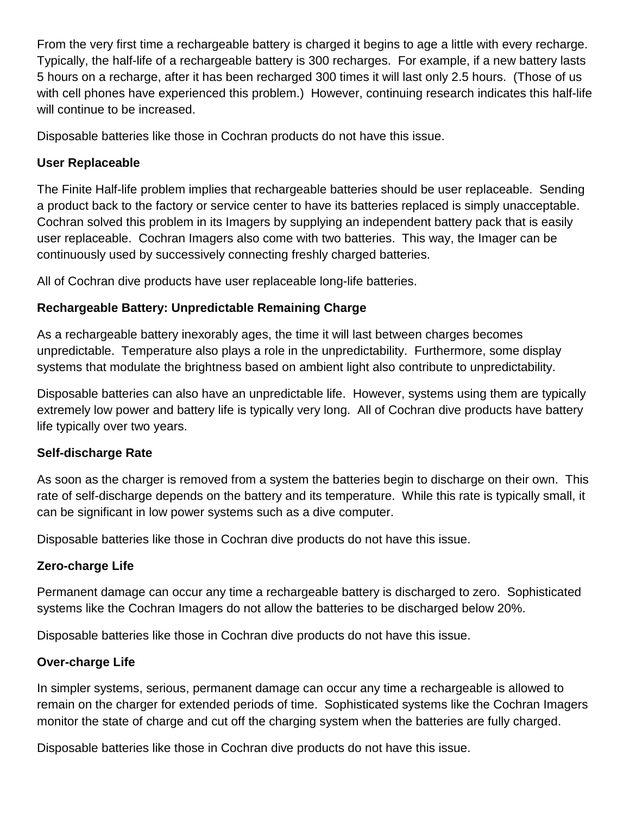From the very first time a rechargeable battery is charged it begins to age a little with every recharge. Typically, the half-life of a rechargeable battery is 300 recharges. For example, if a new battery lasts 5 hours on a recharge, after it has been recharged 300 times it will last only 2.5 hours. (Those of us with cell phones have experienced this problem.) However, continuing research indicates this half-life will continue to be increased.

Disposable batteries like those in Cochran products do not have this issue.

### **User Replaceable**

The Finite Half-life problem implies that rechargeable batteries should be user replaceable. Sending a product back to the factory or service center to have its batteries replaced is simply unacceptable. Cochran solved this problem in its Imagers by supplying an independent battery pack that is easily user replaceable. Cochran Imagers also come with two batteries. This way, the Imager can be continuously used by successively connecting freshly charged batteries.

All of Cochran dive products have user replaceable long-life batteries.

# **Rechargeable Battery: Unpredictable Remaining Charge**

As a rechargeable battery inexorably ages, the time it will last between charges becomes unpredictable. Temperature also plays a role in the unpredictability. Furthermore, some display systems that modulate the brightness based on ambient light also contribute to unpredictability.

Disposable batteries can also have an unpredictable life. However, systems using them are typically extremely low power and battery life is typically very long. All of Cochran dive products have battery life typically over two years.

## **Self-discharge Rate**

As soon as the charger is removed from a system the batteries begin to discharge on their own. This rate of self-discharge depends on the battery and its temperature. While this rate is typically small, it can be significant in low power systems such as a dive computer.

Disposable batteries like those in Cochran dive products do not have this issue.

# **Zero-charge Life**

Permanent damage can occur any time a rechargeable battery is discharged to zero. Sophisticated systems like the Cochran Imagers do not allow the batteries to be discharged below 20%.

Disposable batteries like those in Cochran dive products do not have this issue.

# **Over-charge Life**

In simpler systems, serious, permanent damage can occur any time a rechargeable is allowed to remain on the charger for extended periods of time. Sophisticated systems like the Cochran Imagers monitor the state of charge and cut off the charging system when the batteries are fully charged.

Disposable batteries like those in Cochran dive products do not have this issue.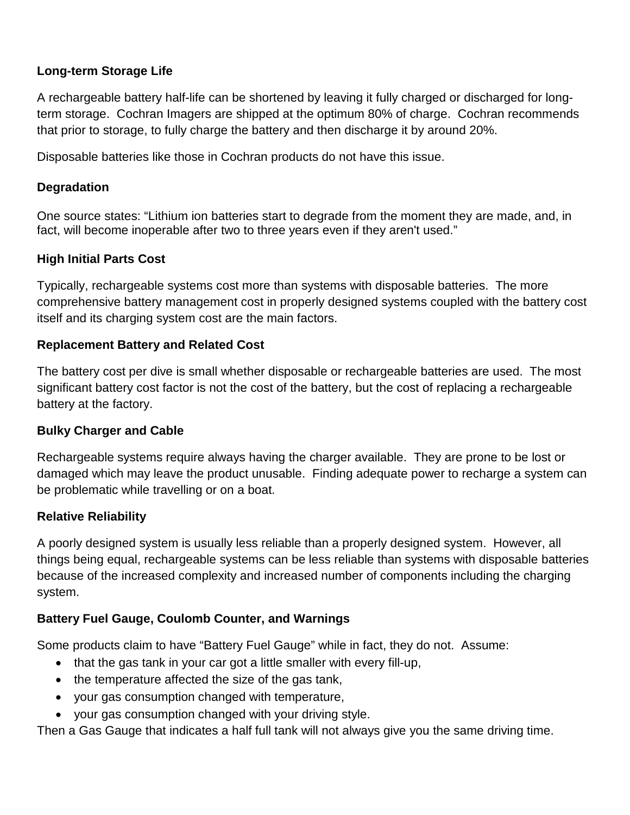### **Long-term Storage Life**

A rechargeable battery half-life can be shortened by leaving it fully charged or discharged for longterm storage. Cochran Imagers are shipped at the optimum 80% of charge. Cochran recommends that prior to storage, to fully charge the battery and then discharge it by around 20%.

Disposable batteries like those in Cochran products do not have this issue.

### **Degradation**

One source states: "Lithium ion batteries start to degrade from the moment they are made, and, in fact, will become inoperable after two to three years even if they aren't used."

### **High Initial Parts Cost**

Typically, rechargeable systems cost more than systems with disposable batteries. The more comprehensive battery management cost in properly designed systems coupled with the battery cost itself and its charging system cost are the main factors.

#### **Replacement Battery and Related Cost**

The battery cost per dive is small whether disposable or rechargeable batteries are used. The most significant battery cost factor is not the cost of the battery, but the cost of replacing a rechargeable battery at the factory.

### **Bulky Charger and Cable**

Rechargeable systems require always having the charger available. They are prone to be lost or damaged which may leave the product unusable. Finding adequate power to recharge a system can be problematic while travelling or on a boat.

### **Relative Reliability**

A poorly designed system is usually less reliable than a properly designed system. However, all things being equal, rechargeable systems can be less reliable than systems with disposable batteries because of the increased complexity and increased number of components including the charging system.

### **Battery Fuel Gauge, Coulomb Counter, and Warnings**

Some products claim to have "Battery Fuel Gauge" while in fact, they do not. Assume:

- that the gas tank in your car got a little smaller with every fill-up,
- the temperature affected the size of the gas tank,
- your gas consumption changed with temperature,
- your gas consumption changed with your driving style.

Then a Gas Gauge that indicates a half full tank will not always give you the same driving time.